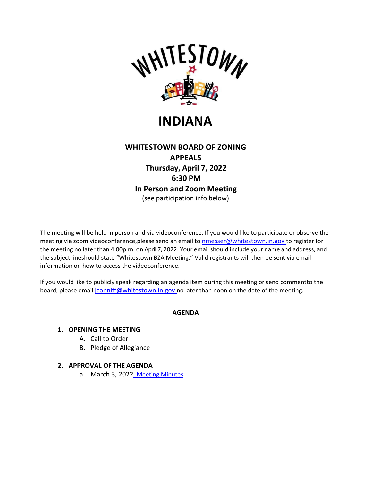

# **INDIANA**

# **WHITESTOWN BOARD OF ZONING APPEALS Thursday, April 7, 2022 6:30 PM In Person and Zoom Meeting** (see participation info below)

The meeting will be held in person and via videoconference. If you would like to participate or observe the meeting via zoom videoconference, please send an email to [nmesser@whitestown.in.gov](mailto:nmesser@whitestown.in.gov) to register for the meeting no later than 4:00p.m. on April 7, 2022. Your email should include your name and address, and the subject lineshould state "Whitestown BZA Meeting." Valid registrants will then be sent via email information on how to access the videoconference.

If you would like to publicly speak regarding an agenda item during this meeting or send commentto the board, please email [jconniff@whitestown.in.gov](mailto:jconniff@whitestown.in.gov) no later than noon on the date of the meeting.

## **AGENDA**

#### **1. OPENING THE MEETING**

- A. Call to Order
- B. Pledge of Allegiance

#### **2. APPROVAL OF THE AGENDA**

a. March 3, 202[2](https://whitestownin.govoffice3.com/vertical/Sites/%7BB8BE8AC3-9DE8-4247-BCB0-1173F48CC7C3%7D/uploads/03-03-22_BZA_Meeting_Minutes.pdf) [Meeting Minutes](https://whitestownin.govoffice3.com/vertical/Sites/%7BB8BE8AC3-9DE8-4247-BCB0-1173F48CC7C3%7D/uploads/03-03-22_BZA_Meeting_Minutes.pdf)